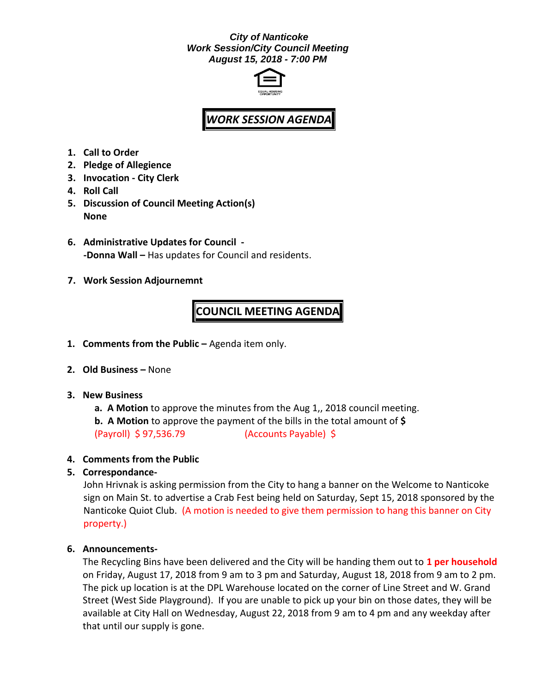### *City of Nanticoke Work Session/City Council Meeting August 15, 2018 - 7:00 PM*



# *WORK SESSION AGENDA*

- **1. Call to Order**
- **2. Pledge of Allegience**
- **3. Invocation - City Clerk**
- **4. Roll Call**
- **5. Discussion of Council Meeting Action(s) None**
- **6. Administrative Updates for Council - -Donna Wall –** Has updates for Council and residents.
- **7. Work Session Adjournemnt**

## **COUNCIL MEETING AGENDA**

- **1. Comments from the Public –** Agenda item only.
- **2. Old Business –** None
- **3. New Business**
	- **a. A Motion** to approve the minutes from the Aug 1,, 2018 council meeting.
	- **b. A Motion** to approve the payment of the bills in the total amount of **\$** (Payroll) \$ 97,536.79 (Accounts Payable) \$

#### **4. Comments from the Public**

#### **5. Correspondance-**

John Hrivnak is asking permission from the City to hang a banner on the Welcome to Nanticoke sign on Main St. to advertise a Crab Fest being held on Saturday, Sept 15, 2018 sponsored by the Nanticoke Quiot Club. (A motion is needed to give them permission to hang this banner on City property.)

#### **6. Announcements-**

The Recycling Bins have been delivered and the City will be handing them out to **1 per household** on Friday, August 17, 2018 from 9 am to 3 pm and Saturday, August 18, 2018 from 9 am to 2 pm. The pick up location is at the DPL Warehouse located on the corner of Line Street and W. Grand Street (West Side Playground). If you are unable to pick up your bin on those dates, they will be available at City Hall on Wednesday, August 22, 2018 from 9 am to 4 pm and any weekday after that until our supply is gone.